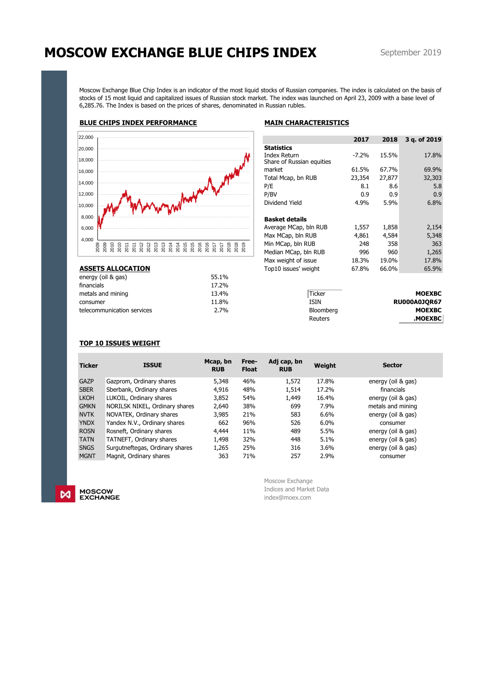# **MOSCOW EXCHANGE BLUE CHIPS INDEX**

Moscow Exchange Blue Chip Index is an indicator of the most liquid stocks of Russian companies. The index is calculated on the basis of stocks of 15 most liquid and capitalized issues of Russian stock market. The index was launched on April 23, 2009 with a base level of 6,285.76. The Index is based on the prices of shares, denominated in Russian rubles.

## **BLUE CHIPS INDEX PERFORMANCE MAIN CHARACTERISTICS**

| 22,000 |      |      |  |  |  |  |  |  |  |  |  |  |
|--------|------|------|--|--|--|--|--|--|--|--|--|--|
| 20,000 |      |      |  |  |  |  |  |  |  |  |  |  |
| 18,000 |      |      |  |  |  |  |  |  |  |  |  |  |
| 16,000 |      |      |  |  |  |  |  |  |  |  |  |  |
| 14,000 |      |      |  |  |  |  |  |  |  |  |  |  |
| 12,000 |      |      |  |  |  |  |  |  |  |  |  |  |
| 10,000 |      |      |  |  |  |  |  |  |  |  |  |  |
| 8,000  |      |      |  |  |  |  |  |  |  |  |  |  |
| 6,000  |      |      |  |  |  |  |  |  |  |  |  |  |
| 4,000  |      |      |  |  |  |  |  |  |  |  |  |  |
|        | 2009 | 2009 |  |  |  |  |  |  |  |  |  |  |
|        |      |      |  |  |  |  |  |  |  |  |  |  |

| 22,000                                                                           |                                                                                         |                                                  | 2017    | 2018   | 3 q. of 2019        |
|----------------------------------------------------------------------------------|-----------------------------------------------------------------------------------------|--------------------------------------------------|---------|--------|---------------------|
| 20,000                                                                           |                                                                                         | <b>Statistics</b>                                |         |        |                     |
| 18,000                                                                           |                                                                                         | <b>Index Return</b><br>Share of Russian equities | $-7.2%$ | 15.5%  | 17.8%               |
| 16,000                                                                           |                                                                                         | market                                           | 61.5%   | 67.7%  | 69.9%               |
|                                                                                  |                                                                                         | Total Mcap, bn RUB                               | 23,354  | 27,877 | 32,303              |
| 14,000                                                                           |                                                                                         | P/E                                              | 8.1     | 8.6    | 5.8                 |
| 12,000                                                                           |                                                                                         | P/BV                                             | 0.9     | 0.9    | 0.9                 |
| 10,000                                                                           |                                                                                         | Dividend Yield                                   | 4.9%    | 5.9%   | 6.8%                |
| 8,000                                                                            |                                                                                         | <b>Basket details</b>                            |         |        |                     |
| 6,000                                                                            |                                                                                         | Average MCap, bln RUB                            | 1,557   | 1,858  | 2,154               |
| 4,000                                                                            |                                                                                         | Max MCap, bln RUB                                | 4,861   | 4,584  | 5,348               |
| 2009<br>2009<br>2010<br>2010<br>2013<br>2013<br>2012<br>2012<br>$\frac{25}{201}$ | $\frac{8}{200}$<br>2015<br>2016<br>2016<br>2014<br>2014<br>2015<br>2018<br>2017<br>2017 | Min MCap, bln RUB                                | 248     | 358    | 363                 |
|                                                                                  |                                                                                         | Median MCap, bln RUB                             | 996     | 960    | 1,265               |
|                                                                                  |                                                                                         | Max weight of issue                              | 18.3%   | 19.0%  | 17.8%               |
| <b>ASSETS ALLOCATION</b>                                                         |                                                                                         | Top10 issues' weight                             | 67.8%   | 66.0%  | 65.9%               |
| energy (oil & gas)                                                               | 55.1%                                                                                   |                                                  |         |        |                     |
| financials                                                                       | 17.2%                                                                                   |                                                  |         |        |                     |
| metals and mining                                                                | 13.4%                                                                                   | <b>Ticker</b>                                    |         |        | <b>MOEXBC</b>       |
| consumer                                                                         | 11.8%                                                                                   | <b>ISIN</b>                                      |         |        | <b>RU000A0JQR67</b> |
| telecommunication services                                                       | 2.7%                                                                                    | Bloomberg                                        |         |        | <b>MOEXBC</b>       |
|                                                                                  |                                                                                         | Reuters                                          |         |        | <b>MOEXBC</b>       |

## **TOP 10 ISSUES WEIGHT**

| <b>Ticker</b> | <b>ISSUE</b>                    | Mcap, bn<br><b>RUB</b> | Free-<br><b>Float</b> | Adj cap, bn<br><b>RUB</b> | Weight | <b>Sector</b>      |  |  |
|---------------|---------------------------------|------------------------|-----------------------|---------------------------|--------|--------------------|--|--|
| <b>GAZP</b>   | Gazprom, Ordinary shares        | 5,348                  | 46%                   | 1,572                     | 17.8%  | energy (oil & gas) |  |  |
| <b>SBER</b>   | Sberbank, Ordinary shares       | 4,916                  | 48%                   | 1,514                     | 17.2%  | financials         |  |  |
| <b>LKOH</b>   | LUKOIL, Ordinary shares         | 3,852                  | 54%                   | 1,449                     | 16.4%  | energy (oil & gas) |  |  |
| <b>GMKN</b>   | NORILSK NIKEL, Ordinary shares  | 2,640                  | 38%                   | 699                       | 7.9%   | metals and mining  |  |  |
| <b>NVTK</b>   | NOVATEK, Ordinary shares        | 3,985                  | 21%                   | 583                       | 6.6%   | energy (oil & gas) |  |  |
| <b>YNDX</b>   | Yandex N.V., Ordinary shares    | 662                    | 96%                   | 526                       | 6.0%   | consumer           |  |  |
| <b>ROSN</b>   | Rosneft, Ordinary shares        | 4,444                  | 11%                   | 489                       | 5.5%   | energy (oil & gas) |  |  |
| <b>TATN</b>   | TATNEFT, Ordinary shares        | 1,498                  | 32%                   | 448                       | 5.1%   | energy (oil & gas) |  |  |
| <b>SNGS</b>   | Surgutneftegas, Ordinary shares | 1,265                  | 25%                   | 316                       | 3.6%   | energy (oil & gas) |  |  |
| <b>MGNT</b>   | Magnit, Ordinary shares         | 363                    | 71%                   | 257                       | 2.9%   | consumer           |  |  |

MOSCOW<br>EXCHANGE  $\mathsf{M}$ 

Moscow Exchange Indices and Market Data index@moex.com